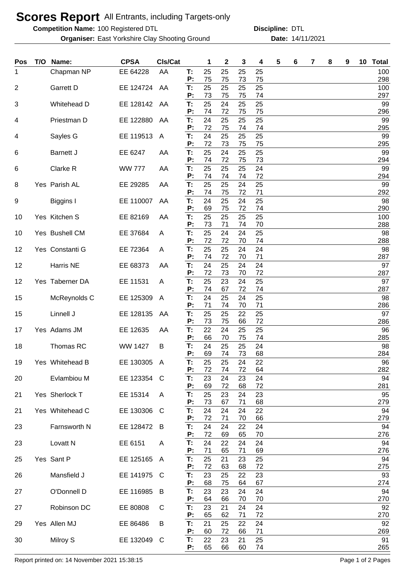## **Scores Report** All Entrants, including Targets-only

**Competition Name:** 100 Registered DTL **Competition Name:** DTL

**Organiser:** East Yorkshire Clay Shooting Ground **14/11/2021** Date: 14/11/2021

**Discipline:**

| Pos | T/O | Name:               | <b>CPSA</b>    | <b>CIs/Cat</b> |                | 1              | 2              | 3              | 4              | 5 | 6 | 7 | 8 | 9 | 10 | <b>Total</b>     |
|-----|-----|---------------------|----------------|----------------|----------------|----------------|----------------|----------------|----------------|---|---|---|---|---|----|------------------|
| 1   |     | Chapman NP          | EE 64228       | AA             | T:<br>P:       | 25<br>75       | 25<br>75       | 25<br>73       | 25<br>75       |   |   |   |   |   |    | 100<br>298       |
| 2   |     | Garrett D           | EE 124724      | AA             | T:             | 25             | 25             | 25             | 25             |   |   |   |   |   |    | 100              |
| 3   |     | Whitehead D         | EE 128142      | AA             | P:<br>T:       | 73<br>25       | 75<br>24       | 75<br>25       | 74<br>25       |   |   |   |   |   |    | 297<br>99        |
|     |     |                     |                |                | P:             | 74             | 72             | 75             | 75             |   |   |   |   |   |    | 296              |
| 4   |     | Priestman D         | EE 122880      | AA             | T:<br>P:       | 24<br>72       | 25<br>75       | 25<br>74       | 25<br>74       |   |   |   |   |   |    | 99<br>295        |
| 4   |     | Sayles G            | EE 119513      | $\overline{A}$ | T.<br>P:       | 24<br>72       | 25<br>73       | 25<br>75       | 25<br>75       |   |   |   |   |   |    | 99<br>295        |
| 6   |     | <b>Barnett J</b>    | EE 6247        | AA             | T:             | 25             | 24             | 25             | 25             |   |   |   |   |   |    | 99               |
| 6   |     | Clarke R            | <b>WW 777</b>  | AA             | P:<br>T:<br>P: | 74<br>25<br>74 | 72<br>25<br>74 | 75<br>25<br>74 | 73<br>24<br>72 |   |   |   |   |   |    | 294<br>99<br>294 |
| 8   |     | Yes Parish AL       | EE 29285       | AA             | T:             | 25             | 25             | 24             | 25             |   |   |   |   |   |    | 99               |
| 9   |     | Biggins I           | EE 110007      | AA             | P:<br>T:       | 74<br>24       | 75<br>25       | 72<br>24       | 71<br>25       |   |   |   |   |   |    | 292<br>98        |
|     |     |                     |                |                | P:             | 69             | 75             | 72             | 74             |   |   |   |   |   |    | 290              |
| 10  |     | Yes Kitchen S       | EE 82169       | AA             | Т:<br>P:       | 25<br>73       | 25<br>71       | 25<br>74       | 25<br>70       |   |   |   |   |   |    | 100<br>288       |
| 10  |     | Yes Bushell CM      | EE 37684       | A              | Т:<br>P:       | 25<br>72       | 24<br>72       | 24<br>70       | 25<br>74       |   |   |   |   |   |    | 98<br>288        |
| 12  |     | Yes Constanti G     | EE 72364       | A              | Т:             | 25             | 25             | 24             | 24             |   |   |   |   |   |    | 98               |
| 12  |     | Harris NE           | EE 68373       | AA             | P:<br>T:       | 74<br>24       | 72<br>25       | 70<br>24       | 71<br>24       |   |   |   |   |   |    | 287<br>97        |
|     |     |                     |                |                | P:             | 72             | 73             | 70             | 72             |   |   |   |   |   |    | 287              |
| 12  |     | Yes Taberner DA     | EE 11531       | A              | T:<br>P:       | 25<br>74       | 23<br>67       | 24<br>72       | 25<br>74       |   |   |   |   |   |    | 97<br>287        |
| 15  |     | McReynolds C        | EE 125309      | $\overline{A}$ | T:<br>P:       | 24<br>71       | 25<br>74       | 24<br>70       | 25<br>71       |   |   |   |   |   |    | 98<br>286        |
| 15  |     | Linnell J           | EE 128135      | AA             | T:             | 25             | 25             | 22             | 25             |   |   |   |   |   |    | 97               |
| 17  |     | Yes Adams JM        | EE 12635       | AA             | P:<br>T:       | 73<br>22       | 75<br>24       | 66<br>25       | 72<br>25       |   |   |   |   |   |    | 286<br>96        |
|     |     |                     |                |                | P:             | 66             | 70             | 75             | 74             |   |   |   |   |   |    | 285              |
| 18  |     | Thomas RC           | <b>WW 1427</b> | B              | Т:<br>P:       | 24<br>69       | 25<br>74       | 25<br>73       | 24<br>68       |   |   |   |   |   |    | 98<br>284        |
| 19  |     | Yes Whitehead B     | EE 130305 A    |                | Т:<br>P:       | 25<br>72       | 25<br>74       | 24<br>72       | 22<br>64       |   |   |   |   |   |    | 96<br>282        |
| 20  |     | Evlambiou M         | EE 123354      | - C            | T:             | 23             | 24             | 23             | 24             |   |   |   |   |   |    | 94               |
| 21  |     | Yes Sherlock T      | EE 15314       | A              | P:<br>T:       | 69<br>25       | 72<br>23       | 68<br>24       | 72<br>23       |   |   |   |   |   |    | 281<br>95        |
|     |     |                     | EE 130306      |                | P:             | 73<br>24       | 67             | 71             | 68             |   |   |   |   |   |    | 279<br>94        |
| 21  |     | Yes Whitehead C     |                | C              | T:<br>Р:       | 72             | 24<br>71       | 24<br>70       | 22<br>66       |   |   |   |   |   |    | 279              |
| 23  |     | Farnsworth N        | EE 128472      | B              | T:<br>P:       | 24<br>72       | 24<br>69       | 22<br>65       | 24<br>70       |   |   |   |   |   |    | 94<br>276        |
| 23  |     | Lovatt <sub>N</sub> | EE 6151        | A              | T:             | 24             | 22             | 24             | 24             |   |   |   |   |   |    | 94               |
| 25  |     | Yes Sant P          | EE 125165      | $\mathsf{A}$   | P:<br>T:       | 71<br>25       | 65<br>21       | 71<br>23       | 69<br>25       |   |   |   |   |   |    | 276<br>94        |
|     |     |                     |                |                | P:             | 72             | 63             | 68             | 72             |   |   |   |   |   |    | 275              |
| 26  |     | Mansfield J         | EE 141975      | C              | T:<br>P:       | 23<br>68       | 25<br>75       | 22<br>64       | 23<br>67       |   |   |   |   |   |    | 93<br>274        |
| 27  |     | O'Donnell D         | EE 116985      | B              | T:<br>P:       | 23<br>64       | 23<br>66       | 24<br>70       | 24<br>70       |   |   |   |   |   |    | 94<br>270        |
| 27  |     | Robinson DC         | EE 80808       | C              | T:             | 23             | 21             | 24             | 24             |   |   |   |   |   |    | 92               |
| 29  |     | Yes Allen MJ        | EE 86486       | B              | P:<br>T:       | 65<br>21       | 62<br>25       | 71<br>22       | 72<br>24       |   |   |   |   |   |    | 270<br>92        |
|     |     |                     |                |                | P:             | 60             | 72             | 66             | 71             |   |   |   |   |   |    | 269              |
| 30  |     | Milroy S            | EE 132049      | C              | T:<br>P:       | 22<br>65       | 23<br>66       | 21<br>60       | 25<br>74       |   |   |   |   |   |    | 91<br>265        |